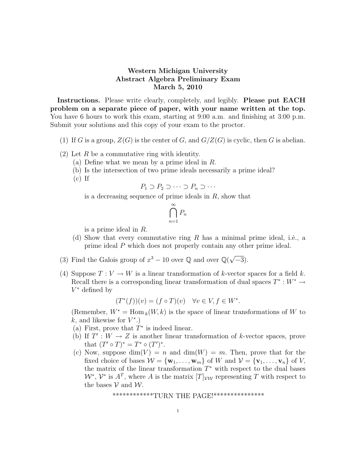## Western Michigan University Abstract Algebra Preliminary Exam March 5, 2010

Instructions. Please write clearly, completely, and legibly. Please put EACH problem on a separate piece of paper, with your name written at the top. You have 6 hours to work this exam, starting at 9:00 a.m. and finishing at 3:00 p.m. Submit your solutions and this copy of your exam to the proctor.

- (1) If G is a group,  $Z(G)$  is the center of G, and  $G/Z(G)$  is cyclic, then G is abelian.
- $(2)$  Let R be a commutative ring with identity.
	- (a) Define what we mean by a prime ideal in R.
	- (b) Is the intersection of two prime ideals necessarily a prime ideal?
	- $(c)$  If

$$
P_1 \supset P_2 \supset \cdots \supset P_n \supset \cdots
$$

is a decreasing sequence of prime ideals in  $R$ , show that

$$
\bigcap_{n=1}^{\infty} P_n
$$

is a prime ideal in R.

- (d) Show that every commutative ring R has a minimal prime ideal, i.e., a prime ideal P which does not properly contain any other prime ideal.
- (3) Find the Galois group of  $x^3 10$  over Q and over  $\mathbb{Q}(\sqrt{2})$  $\overline{-3}$ ).
- (4) Suppose  $T: V \to W$  is a linear transformation of k-vector spaces for a field k. Recall there is a corresponding linear transformation of dual spaces  $T^* : W^* \to$ V <sup>∗</sup> defined by

$$
(T^*(f))(v) = (f \circ T)(v) \quad \forall v \in V, f \in W^*.
$$

(Remember,  $W^* = \text{Hom}_k(W, k)$  is the space of linear transformations of W to  $k$ , and likewise for  $V^*$ .)

- (a) First, prove that  $T^*$  is indeed linear.
- (b) If  $T': W \to Z$  is another linear transformation of k-vector spaces, prove that  $(T' \circ T)^* = T^* \circ (T')^*$ .
- (c) Now, suppose  $\dim(V) = n$  and  $\dim(W) = m$ . Then, prove that for the fixed choice of bases  $W = {\bf{w}_1, \ldots, \bf{w}_m}$  of W and  $V = {\bf{v}_1, \ldots, \bf{v}_n}$  of V, the matrix of the linear transformation  $T^*$  with respect to the dual bases  $W^*, V^*$  is  $A^T$ , where A is the matrix  $[T]_{VW}$  representing T with respect to the bases  $V$  and  $W$ .

\*\*\*\*\*\*\*\*\*\*\*\*TURN THE PAGE!\*\*\*\*\*\*\*\*\*\*\*\*\*\*\*